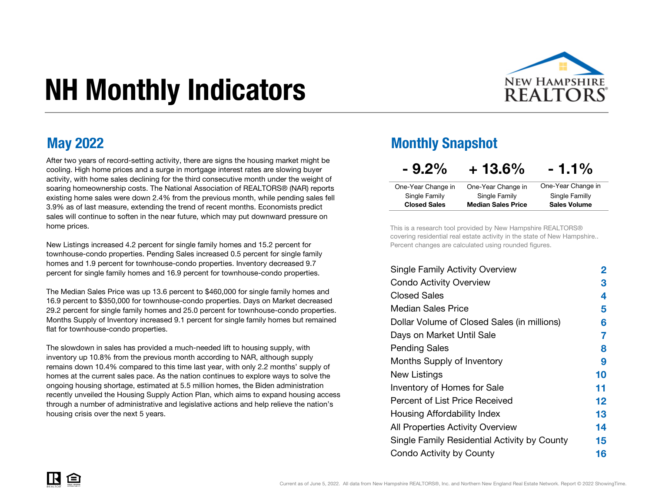# NH Monthly Indicators



After two years of record-setting activity, there are signs the housing market might be cooling. High home prices and a surge in mortgage interest rates are slowing buyer activity, with home sales declining for the third consecutive month under the weight of soaring homeownership costs. The National Association of REALTORS® (NAR) reports existing home sales were down 2.4% from the previous month, while pending sales fell 3.9% as of last measure, extending the trend of recent months. Economists predict sales will continue to soften in the near future, which may put downward pressure on home prices.

New Listings increased 4.2 percent for single family homes and 15.2 percent for townhouse-condo properties. Pending Sales increased 0.5 percent for single family homes and 1.9 percent for townhouse-condo properties. Inventory decreased 9.7 percent for single family homes and 16.9 percent for townhouse-condo properties.

The Median Sales Price was up 13.6 percent to \$460,000 for single family homes and 16.9 percent to \$350,000 for townhouse-condo properties. Days on Market decreased 29.2 percent for single family homes and 25.0 percent for townhouse-condo properties. Months Supply of Inventory increased 9.1 percent for single family homes but remained flat for townhouse-condo properties.

The slowdown in sales has provided a much-needed lift to housing supply, with inventory up 10.8% from the previous month according to NAR, although supply remains down 10.4% compared to this time last year, with only 2.2 months' supply of homes at the current sales pace. As the nation continues to explore ways to solve the ongoing housing shortage, estimated at 5.5 million homes, the Biden administration recently unveiled the Housing Supply Action Plan, which aims to expand housing access through a number of administrative and legislative actions and help relieve the nation's housing crisis over the next 5 years.

#### May 2022 Monthly Snapshot

| $-9.2\%$            | $+13.6\%$                 | $-1.1\%$            |
|---------------------|---------------------------|---------------------|
| One-Year Change in  | One-Year Change in        | One-Year Change in  |
| Single Family       | Single Family             | Single Familly      |
| <b>Closed Sales</b> | <b>Median Sales Price</b> | <b>Sales Volume</b> |

This is a research tool provided by New Hampshire REALTORS® covering residential real estate activity in the state of New Hampshire.. Percent changes are calculated using rounded figures.

| <b>Single Family Activity Overview</b>       | 2       |
|----------------------------------------------|---------|
| <b>Condo Activity Overview</b>               | 3       |
| <b>Closed Sales</b>                          | 4       |
| <b>Median Sales Price</b>                    | 5       |
| Dollar Volume of Closed Sales (in millions)  | 6       |
| Days on Market Until Sale                    | 7       |
| Pending Sales                                | 8       |
| Months Supply of Inventory                   | 9       |
| New Listings                                 | 10      |
| <b>Inventory of Homes for Sale</b>           | 11      |
| Percent of List Price Received               | $12 \,$ |
| Housing Affordability Index                  | 13      |
| All Properties Activity Overview             | 14      |
| Single Family Residential Activity by County | 15      |
| Condo Activity by County                     | 16      |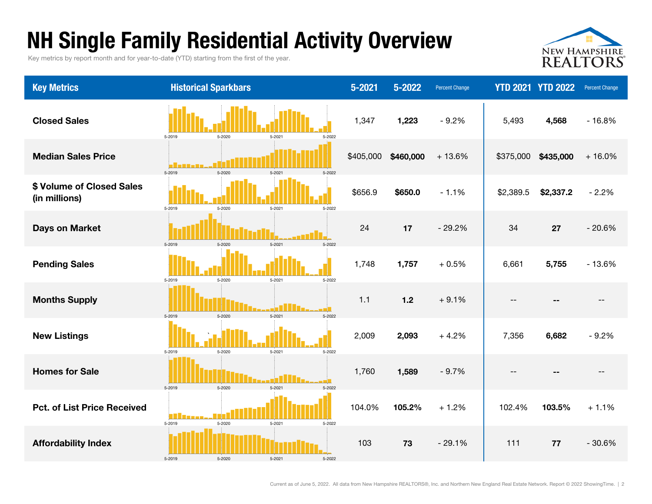### NH Single Family Residential Activity Overview

Key metrics by report month and for year-to-date (YTD) starting from the first of the year.



| <b>Key Metrics</b>                         | <b>Historical Sparkbars</b>                                       | 5-2021    | 5-2022    | Percent Change |                   | <b>YTD 2021 YTD 2022</b> | <b>Percent Change</b> |
|--------------------------------------------|-------------------------------------------------------------------|-----------|-----------|----------------|-------------------|--------------------------|-----------------------|
| <b>Closed Sales</b>                        | 5-2020<br>5-2021<br>5-2019<br>5-2022                              | 1,347     | 1,223     | $-9.2%$        | 5,493             | 4,568                    | $-16.8%$              |
| <b>Median Sales Price</b>                  | 5-2019<br>5-2020<br>5-2021<br>5-2022                              | \$405,000 | \$460,000 | $+13.6%$       | \$375,000         | \$435,000                | $+16.0%$              |
| \$ Volume of Closed Sales<br>(in millions) | 5-2019<br>5-2020<br>5-2022<br>5-2021                              | \$656.9   | \$650.0   | $-1.1%$        | \$2,389.5         | \$2,337.2                | $-2.2%$               |
| <b>Days on Market</b>                      | $5 - 2021$<br>5-2019<br>5-2020<br>5-2022                          | 24        | 17        | $-29.2%$       | 34                | 27                       | $-20.6%$              |
| <b>Pending Sales</b>                       | 5-2019<br>5-2020<br>$5 - 2021$<br>5-2022                          | 1,748     | 1,757     | $+0.5%$        | 6,661             | 5,755                    | $-13.6%$              |
| <b>Months Supply</b>                       | 5-2020<br>5-2021<br>5-2022<br>5-2019                              | 1.1       | $1.2$     | $+9.1%$        | $-$               |                          |                       |
| <b>New Listings</b>                        | 5-2020<br>$5 - 2021$<br>5-2022<br>5-2019                          | 2,009     | 2,093     | $+4.2%$        | 7,356             | 6,682                    | $-9.2%$               |
| <b>Homes for Sale</b>                      | 5-2019<br>5-2021<br>5-2020<br>5-2022                              | 1,760     | 1,589     | $-9.7%$        | $\qquad \qquad -$ |                          | $-$                   |
| <b>Pct. of List Price Received</b>         | M H<br><b>Manager</b><br>5-2019<br>5-2020<br>$5 - 2021$<br>5-2022 | 104.0%    | 105.2%    | $+1.2%$        | 102.4%            | 103.5%                   | $+1.1%$               |
| <b>Affordability Index</b>                 | 5-2019<br>5-2020<br>5-2021<br>5-2022                              | 103       | 73        | $-29.1%$       | 111               | 77                       | $-30.6%$              |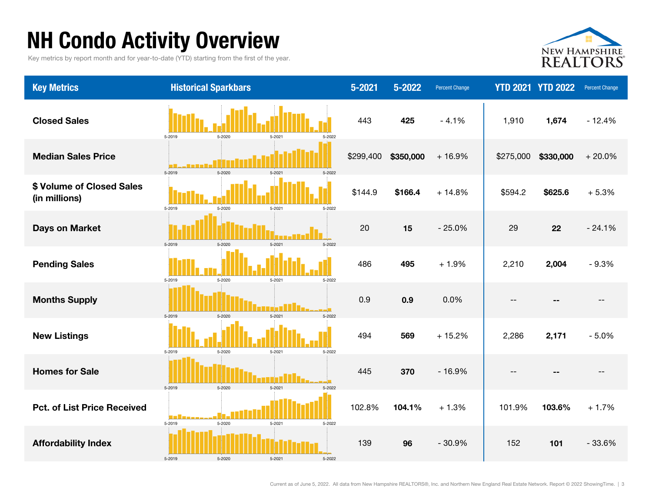## NH Condo Activity Overview

Key metrics by report month and for year-to-date (YTD) starting from the first of the year.



| <b>Key Metrics</b>                         | <b>Historical Sparkbars</b>                            | $5 - 2021$ | $5 - 2022$ | <b>Percent Change</b> |           | <b>YTD 2021 YTD 2022</b> | <b>Percent Change</b> |
|--------------------------------------------|--------------------------------------------------------|------------|------------|-----------------------|-----------|--------------------------|-----------------------|
| <b>Closed Sales</b>                        | 5-2020<br>5-2019<br>5-2021<br>5-2022                   | 443        | 425        | $-4.1%$               | 1,910     | 1,674                    | $-12.4%$              |
| <b>Median Sales Price</b>                  | 5-2019<br>5-2020<br>$5 - 2021$<br>5-2022               | \$299,400  | \$350,000  | $+16.9%$              | \$275,000 | \$330,000                | $+20.0%$              |
| \$ Volume of Closed Sales<br>(in millions) | 5-2019<br>5-2020<br>$5 - 2021$<br>5-2022               | \$144.9    | \$166.4    | $+14.8%$              | \$594.2   | \$625.6                  | $+5.3%$               |
| <b>Days on Market</b>                      | $5 - 2021$<br>5-2019<br>5-2020<br>5-2022               | 20         | 15         | $-25.0%$              | 29        | 22                       | $-24.1%$              |
| <b>Pending Sales</b>                       | 5-2020<br>5-2021<br>5-2022<br>5-2019                   | 486        | 495        | $+1.9%$               | 2,210     | 2,004                    | $-9.3%$               |
| <b>Months Supply</b>                       | 5-2021<br>5-2019<br>5-2020<br>5-2022                   | 0.9        | 0.9        | 0.0%                  | $- -$     | --                       | $\qquad \qquad -$     |
| <b>New Listings</b>                        | 5-2020<br>5-2021<br>5-2019<br>5-2022                   | 494        | 569        | $+15.2%$              | 2,286     | 2,171                    | $-5.0%$               |
| <b>Homes for Sale</b>                      | 5-2020<br>5-2021<br>5-2019<br>5-2022                   | 445        | 370        | $-16.9%$              | $- -$     | --                       | $\qquad \qquad -$     |
| <b>Pct. of List Price Received</b>         | a province<br>5-2019<br>$5 - 2021$<br>5-2020<br>5-2022 | 102.8%     | 104.1%     | $+1.3%$               | 101.9%    | 103.6%                   | $+1.7%$               |
| <b>Affordability Index</b>                 | 5-2020<br>5-2019<br>5-2021<br>5-2022                   | 139        | 96         | $-30.9%$              | 152       | 101                      | $-33.6%$              |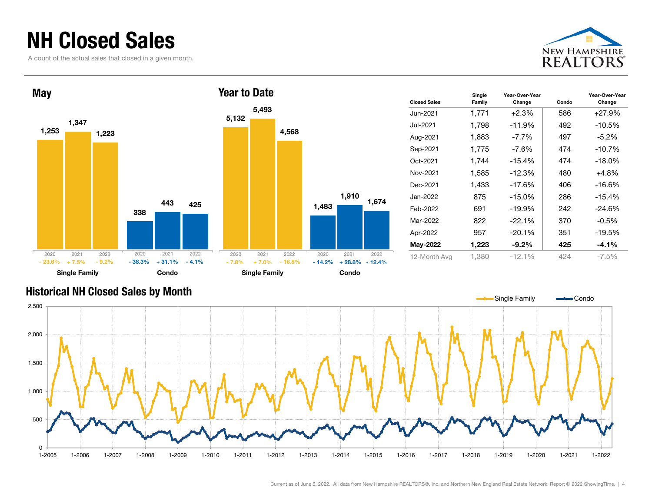#### NH Closed Sales

A count of the actual sales that closed in a given month.





| <b>Closed Sales</b> | Single<br>Family | Year-Over-Year<br>Change | Condo | Year-Over-Year<br>Change |
|---------------------|------------------|--------------------------|-------|--------------------------|
| Jun-2021            | 1,771            | $+2.3%$                  | 586   | $+27.9%$                 |
| Jul-2021            | 1,798            | -11.9%                   | 492   | $-10.5%$                 |
| Aug-2021            | 1,883            | $-7.7\%$                 | 497   | $-5.2\%$                 |
| Sep-2021            | 1,775            | $-7.6%$                  | 474   | $-10.7%$                 |
| Oct-2021            | 1,744            | -15.4%                   | 474   | $-18.0\%$                |
| Nov-2021            | 1,585            | -12.3%                   | 480   | $+4.8%$                  |
| Dec-2021            | 1,433            | -17.6%                   | 406   | $-16.6%$                 |
| Jan-2022            | 875              | $-15.0%$                 | 286   | $-15.4%$                 |
| Feb-2022            | 691              | -19.9%                   | 242   | $-24.6%$                 |
| Mar-2022            | 822              | $-22.1%$                 | 370   | -0.5%                    |
| Apr-2022            | 957              | $-20.1%$                 | 351   | $-19.5%$                 |
| May-2022            | 1,223            | $-9.2\%$                 | 425   | $-4.1\%$                 |
| 12-Month Avg        | 1.380            | $-12.1%$                 | 424   | $-7.5\%$                 |

#### Historical NH Closed Sales by Month

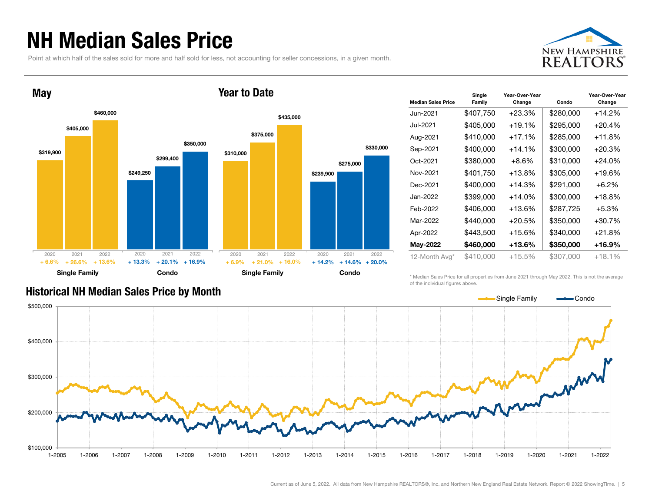#### NH Median Sales Price

Point at which half of the sales sold for more and half sold for less, not accounting for seller concessions, in a given month.





| <b>Median Sales Price</b> | Single<br>Family | Year-Over-Year<br>Change | Condo     | Year-Over-Year<br>Change |
|---------------------------|------------------|--------------------------|-----------|--------------------------|
| Jun-2021                  | \$407,750        | $+23.3%$                 | \$280,000 | +14.2%                   |
| Jul-2021                  | \$405,000        | $+19.1%$                 | \$295,000 | $+20.4%$                 |
| Aug-2021                  | \$410,000        | $+17.1%$                 | \$285,000 | +11.8%                   |
| Sep-2021                  | \$400,000        | $+14.1%$                 | \$300,000 | +20.3%                   |
| Oct-2021                  | \$380,000        | $+8.6\%$                 | \$310,000 | $+24.0\%$                |
| Nov-2021                  | \$401,750        | $+13.8%$                 | \$305,000 | +19.6%                   |
| Dec-2021                  | \$400,000        | $+14.3%$                 | \$291,000 | $+6.2\%$                 |
| Jan-2022                  | \$399,000        | $+14.0%$                 | \$300,000 | +18.8%                   |
| Feb-2022                  | \$406,000        | $+13.6%$                 | \$287,725 | $+5.3%$                  |
| Mar-2022                  | \$440,000        | $+20.5%$                 | \$350,000 | +30.7%                   |
| Apr-2022                  | \$443,500        | $+15.6%$                 | \$340,000 | $+21.8%$                 |
| May-2022                  | \$460,000        | $+13.6%$                 | \$350,000 | +16.9%                   |
| 12-Month Avg*             | \$410,000        | +15.5%                   | \$307,000 | +18.1%                   |

#### Historical NH Median Sales Price by Month

\* Median Sales Price for all properties from June 2021 through May 2022. This is not the average of the individual figures above.

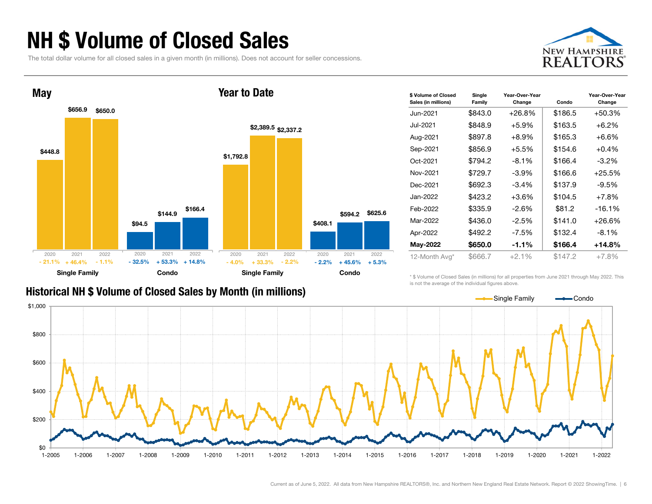### NH \$ Volume of Closed Sales

The total dollar volume for all closed sales in a given month (in millions). Does not account for seller concessions.





|  |  |  |  | Historical NH \$ Volume of Closed Sales by Month (in millions) |  |
|--|--|--|--|----------------------------------------------------------------|--|
|  |  |  |  |                                                                |  |

| \$ Volume of Closed<br>Sales (in millions) | Single<br>Family | Year-Over-Year<br>Change | Condo   | Year-Over-Year<br>Change |
|--------------------------------------------|------------------|--------------------------|---------|--------------------------|
| Jun-2021                                   | \$843.0          | $+26.8\%$                | \$186.5 | +50.3%                   |
| Jul-2021                                   | \$848.9          | $+5.9%$                  | \$163.5 | $+6.2%$                  |
| Aug-2021                                   | \$897.8          | $+8.9%$                  | \$165.3 | $+6.6%$                  |
| Sep-2021                                   | \$856.9          | $+5.5%$                  | \$154.6 | $+0.4%$                  |
| Oct-2021                                   | \$794.2          | $-8.1%$                  | \$166.4 | $-3.2\%$                 |
| Nov-2021                                   | \$729.7          | $-3.9\%$                 | \$166.6 | $+25.5%$                 |
| Dec-2021                                   | \$692.3          | $-3.4%$                  | \$137.9 | $-9.5%$                  |
| Jan-2022                                   | \$423.2          | $+3.6%$                  | \$104.5 | $+7.8%$                  |
| Feb-2022                                   | \$335.9          | -2.6%                    | \$81.2  | $-16.1%$                 |
| Mar-2022                                   | \$436.0          | $-2.5%$                  | \$141.0 | +26.6%                   |
| Apr-2022                                   | \$492.2          | $-7.5%$                  | \$132.4 | $-8.1\%$                 |
| May-2022                                   | \$650.0          | $-1.1%$                  | \$166.4 | $+14.8%$                 |
| 12-Month Avg*                              | \$666.7          | $+2.1%$                  | \$147.2 | $+7.8%$                  |

\* \$ Volume of Closed Sales (in millions) for all properties from June 2021 through May 2022. This is not the average of the individual figures above.

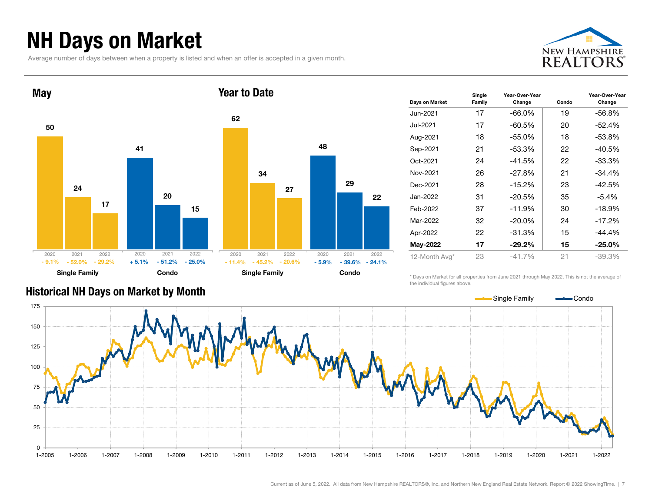### NH Days on Market

Average number of days between when a property is listed and when an offer is accepted in a given month.





| Days on Market | Single<br>Family | Year-Over-Year<br>Change | Condo | Year-Over-Year<br>Change |
|----------------|------------------|--------------------------|-------|--------------------------|
| Jun-2021       | 17               | $-66.0%$                 | 19    | $-56.8%$                 |
| Jul-2021       | 17               | $-60.5%$                 | 20    | $-52.4%$                 |
| Aug-2021       | 18               | $-55.0%$                 | 18    | $-53.8%$                 |
| Sep-2021       | 21               | $-53.3%$                 | 22    | $-40.5%$                 |
| Oct-2021       | 24               | $-41.5%$                 | 22    | $-33.3%$                 |
| Nov-2021       | 26               | $-27.8%$                 | 21    | $-34.4%$                 |
| Dec-2021       | 28               | $-15.2%$                 | 23    | $-42.5%$                 |
| Jan-2022       | 31               | $-20.5%$                 | 35    | $-5.4%$                  |
| Feb-2022       | 37               | $-11.9%$                 | 30    | $-18.9%$                 |
| Mar-2022       | 32               | $-20.0\%$                | 24    | $-17.2%$                 |
| Apr-2022       | 22               | $-31.3%$                 | 15    | $-44.4%$                 |
| May-2022       | 17               | $-29.2%$                 | 15    | $-25.0\%$                |
| 12-Month Avg*  | 23               | $-41.7%$                 | 21    | $-39.3%$                 |

#### Historical NH Days on Market by Month

\* Days on Market for all properties from June 2021 through May 2022. This is not the average of the individual figures above.



22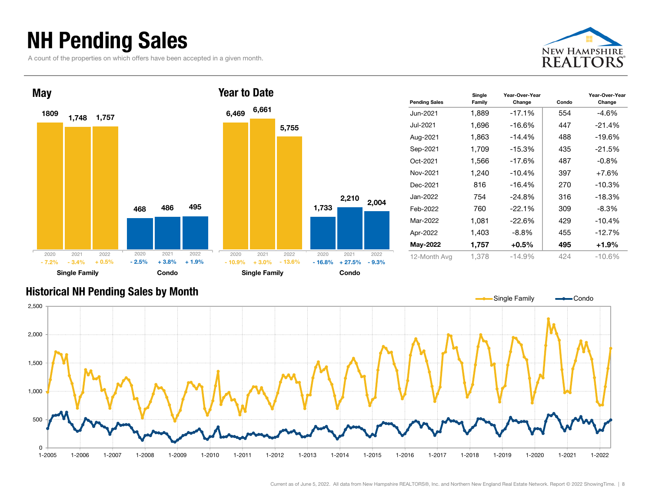### NH Pending Sales

A count of the properties on which offers have been accepted in a given month.



Year-Over-Year Change





Current as of June 5, 2022. All data from New Hampshire REALTORS®, Inc. and Northern New England Real Estate Network. Report © 2022 ShowingTime. | 8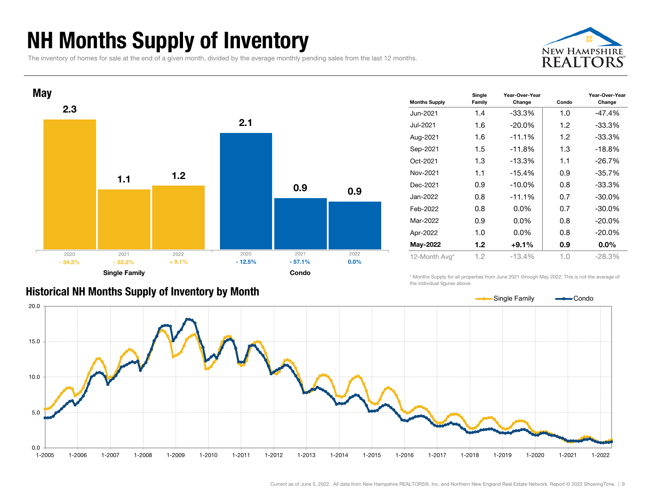### NH Months Supply of Inventory

The inventory of homes for sale at the end of a given month, divided by the average monthly pending sales from the last 12 months.





| <b>Months Supply</b> | Single<br>Family | Year-Over-Year<br>Change | Condo | Year-Over-Year<br>Change |
|----------------------|------------------|--------------------------|-------|--------------------------|
| Jun-2021             | 1.4              | -33.3%                   | 1.0   | -47.4%                   |
| Jul-2021             | 1.6              | $-20.0\%$                | 1.2   | $-33.3%$                 |
| Aug-2021             | 1.6              | $-11.1%$                 | 1.2   | $-33.3%$                 |
| Sep-2021             | 1.5              | $-11.8%$                 | 1.3   | $-18.8%$                 |
| Oct-2021             | 1.3              | $-13.3%$                 | 1.1   | $-26.7%$                 |
| Nov-2021             | 1.1              | $-15.4%$                 | 0.9   | $-35.7%$                 |
| Dec-2021             | 0.9              | $-10.0\%$                | 0.8   | $-33.3%$                 |
| Jan-2022             | 0.8              | $-11.1%$                 | 0.7   | $-30.0\%$                |
| Feb-2022             | 0.8              | $0.0\%$                  | 0.7   | $-30.0\%$                |
| Mar-2022             | 0.9              | $0.0\%$                  | 0.8   | $-20.0\%$                |
| Apr-2022             | 1.0              | $0.0\%$                  | 0.8   | $-20.0%$                 |
| May-2022             | 1.2              | $+9.1%$                  | 0.9   | $0.0\%$                  |
| 12-Month Avg*        | 1.2              | $-13.4%$                 | 1.0   | $-28.3%$                 |

#### Historical NH Months Supply of Inventory by Month

\* Months Supply for all properties from June 2021 through May 2022. This is not the average of the individual figures above.

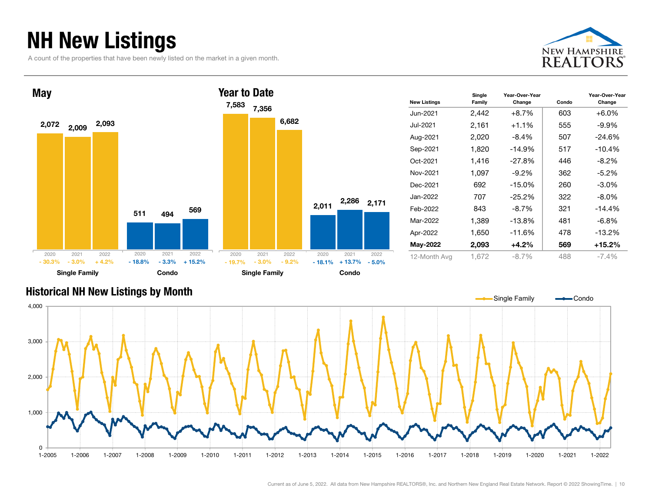### NH New Listings

A count of the properties that have been newly listed on the market in a given month.



Year-Over-Year Change



#### Historical NH New Listings by Month



Current as of June 5, 2022. All data from New Hampshire REALTORS®, Inc. and Northern New England Real Estate Network. Report © 2022 ShowingTime. | 10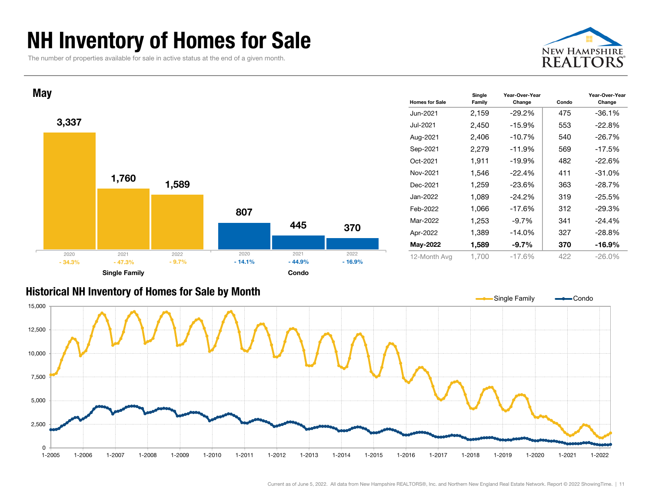### NH Inventory of Homes for Sale

The number of properties available for sale in active status at the end of a given month.





#### Historical NH Inventory of Homes for Sale by Month

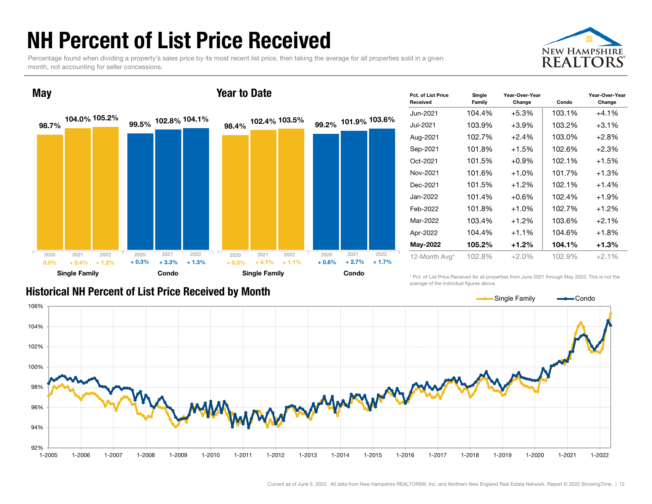#### NH Percent of List Price Received

Percentage found when dividing a property's sales price by its most recent list price, then taking the average for all properties sold in a given month, not accounting for seller concessions.





| <b>Pct. of List Price</b><br>Received | Single<br>Family | Year-Over-Year<br>Change | Condo  | Year-Over-Year<br>Change |
|---------------------------------------|------------------|--------------------------|--------|--------------------------|
| Jun-2021                              | 104.4%           | $+5.3%$                  | 103.1% | $+4.1%$                  |
| Jul-2021                              | 103.9%           | $+3.9%$                  | 103.2% | $+3.1\%$                 |
| Aug-2021                              | 102.7%           | $+2.4%$                  | 103.0% | $+2.8%$                  |
| Sep-2021                              | 101.8%           | $+1.5%$                  | 102.6% | $+2.3%$                  |
| Oct-2021                              | 101.5%           | $+0.9\%$                 | 102.1% | $+1.5%$                  |
| Nov-2021                              | 101.6%           | $+1.0%$                  | 101.7% | $+1.3%$                  |
| Dec-2021                              | 101.5%           | $+1.2\%$                 | 102.1% | $+1.4%$                  |
| Jan-2022                              | 101.4%           | $+0.6%$                  | 102.4% | $+1.9%$                  |
| Feb-2022                              | 101.8%           | $+1.0%$                  | 102.7% | $+1.2%$                  |
| Mar-2022                              | 103.4%           | $+1.2\%$                 | 103.6% | $+2.1%$                  |
| Apr-2022                              | 104.4%           | $+1.1%$                  | 104.6% | $+1.8%$                  |
| May-2022                              | 105.2%           | $+1.2%$                  | 104.1% | $+1.3%$                  |
| 12-Month Avg*                         | 102.8%           | $+2.0%$                  | 102.9% | $+2.1%$                  |

#### Historical NH Percent of List Price Received by Month

\* Pct. of List Price Received for all properties from June 2021 through May 2022. This is not the average of the individual figures above.

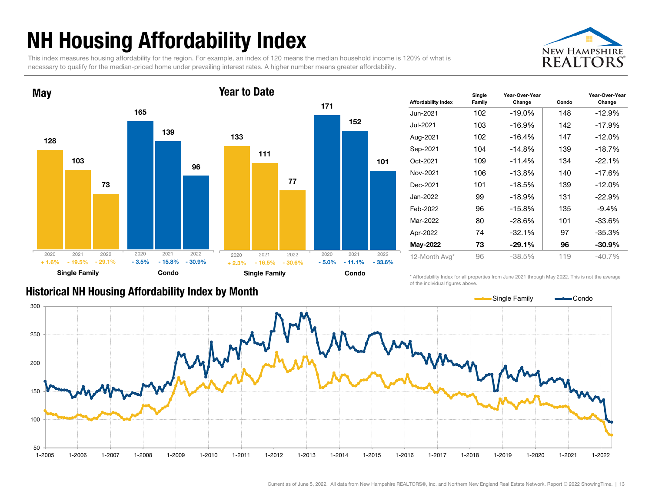## NH Housing Affordability Index

This index measures housing affordability for the region. For example, an index of 120 means the median household income is 120% of what is necessary to qualify for the median-priced home under prevailing interest rates. A higher number means greater affordability.





| <b>Affordability Index</b> | Family | Change   | Condo | Year-Over-Year<br>Change |
|----------------------------|--------|----------|-------|--------------------------|
| Jun-2021                   | 102    | $-19.0%$ | 148   | $-12.9%$                 |
| Jul-2021                   | 103    | -16.9%   | 142   | $-17.9%$                 |
| Aug-2021                   | 102    | $-16.4%$ | 147   | $-12.0%$                 |
| Sep-2021                   | 104    | $-14.8%$ | 139   | $-18.7%$                 |
| Oct-2021                   | 109    | $-11.4%$ | 134   | $-22.1%$                 |
| Nov-2021                   | 106    | $-13.8%$ | 140   | $-17.6%$                 |
| Dec-2021                   | 101    | $-18.5%$ | 139   | $-12.0%$                 |
| Jan-2022                   | 99     | $-18.9%$ | 131   | $-22.9%$                 |
| Feb-2022                   | 96     | $-15.8%$ | 135   | $-9.4%$                  |
| Mar-2022                   | 80     | $-28.6%$ | 101   | $-33.6%$                 |
| Apr-2022                   | 74     | $-32.1%$ | 97    | $-35.3%$                 |
| May-2022                   | 73     | $-29.1%$ | 96    | $-30.9\%$                |
| 12-Month Avg*              | 96     | $-38.5%$ | 119   | $-40.7%$                 |

#### Historical NH Housing Affordability Index by Mont h

\* Affordability Index for all properties from June 2021 through May 2022. This is not the average of the individual figures above.

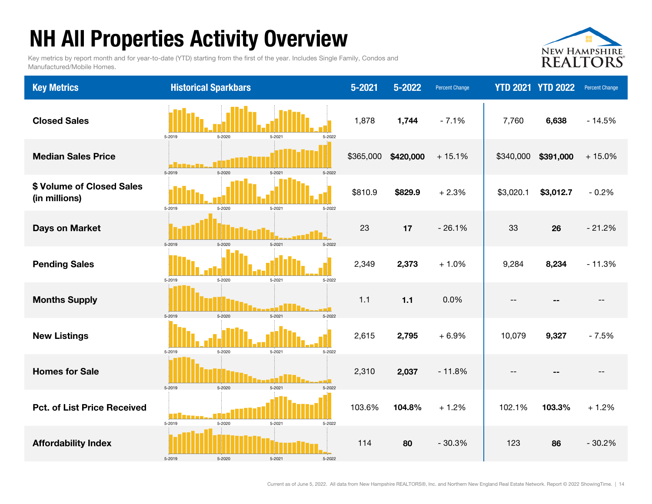## NH All Properties Activity Overview

Key metrics by report month and for year-to-date (YTD) starting from the first of the year. Includes Single Family, Condos and Manufactured/Mobile Homes.



| <b>Key Metrics</b>                         | <b>Historical Sparkbars</b>                           | $5 - 2021$ | 5-2022    | <b>Percent Change</b> |           | <b>YTD 2021 YTD 2022</b> | Percent Change |
|--------------------------------------------|-------------------------------------------------------|------------|-----------|-----------------------|-----------|--------------------------|----------------|
| <b>Closed Sales</b>                        | 5-2019<br>5-2020<br>$5 - 2021$<br>5-2022              | 1,878      | 1,744     | $-7.1%$               | 7,760     | 6,638                    | $-14.5%$       |
| <b>Median Sales Price</b>                  | a Ham<br>5-2019<br>$5 - 2020$<br>5-2022<br>$5 - 2021$ | \$365,000  | \$420,000 | $+15.1%$              | \$340,000 | \$391,000                | $+15.0%$       |
| \$ Volume of Closed Sales<br>(in millions) | 5-2019<br>5-2020<br>$5 - 2021$<br>5-2022              | \$810.9    | \$829.9   | $+2.3%$               | \$3,020.1 | \$3,012.7                | $-0.2%$        |
| <b>Days on Market</b>                      | 5-2019<br>$5 - 2021$<br>5-2022<br>$5 - 2020$          | 23         | 17        | $-26.1%$              | 33        | 26                       | $-21.2%$       |
| <b>Pending Sales</b>                       | 5-2019<br>5-2020<br>$5 - 2021$<br>5-2022              | 2,349      | 2,373     | $+1.0%$               | 9,284     | 8,234                    | $-11.3%$       |
| <b>Months Supply</b>                       | 5-2019<br>$5 - 2021$<br>5-2022<br>$5 - 2020$          | 1.1        | $1.1$     | 0.0%                  |           |                          | $- -$          |
| <b>New Listings</b>                        | 5-2019<br>5-2020<br>5-2021<br>5-2022                  | 2,615      | 2,795     | $+6.9%$               | 10,079    | 9,327                    | $-7.5%$        |
| <b>Homes for Sale</b>                      | 5-2019<br>$5 - 2020$<br>5.202<br>5-2022               | 2,310      | 2,037     | $-11.8%$              |           |                          |                |
| <b>Pct. of List Price Received</b>         | M.<br>5-2019<br>5-2020<br>5-2021<br>5-2022            | 103.6%     | 104.8%    | $+1.2%$               | 102.1%    | 103.3%                   | $+1.2%$        |
| <b>Affordability Index</b>                 | 5-2019<br>5-2020<br>5-2021<br>5-2022                  | 114        | 80        | $-30.3%$              | 123       | 86                       | $-30.2%$       |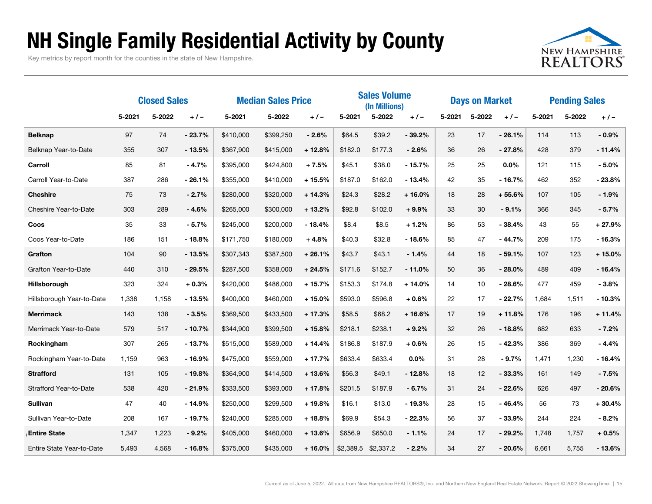#### NH Single Family Residential Activity by County

Key metrics by report month for the counties in the state of New Hampshire.



|                           | <b>Closed Sales</b> |        |          | <b>Median Sales Price</b> |           |          | <b>Sales Volume</b><br>(In Millions) |           |          | <b>Days on Market</b> |        |          | <b>Pending Sales</b> |        |          |
|---------------------------|---------------------|--------|----------|---------------------------|-----------|----------|--------------------------------------|-----------|----------|-----------------------|--------|----------|----------------------|--------|----------|
|                           | 5-2021              | 5-2022 | $+/-$    | 5-2021                    | 5-2022    | $+/-$    | 5-2021                               | 5-2022    | $+/-$    | 5-2021                | 5-2022 | $+/-$    | 5-2021               | 5-2022 | $+/-$    |
| <b>Belknap</b>            | 97                  | 74     | $-23.7%$ | \$410,000                 | \$399,250 | $-2.6%$  | \$64.5                               | \$39.2    | $-39.2%$ | 23                    | 17     | $-26.1%$ | 114                  | 113    | $-0.9%$  |
| Belknap Year-to-Date      | 355                 | 307    | $-13.5%$ | \$367,900                 | \$415,000 | $+12.8%$ | \$182.0                              | \$177.3   | $-2.6%$  | 36                    | 26     | $-27.8%$ | 428                  | 379    | $-11.4%$ |
| Carroll                   | 85                  | 81     | $-4.7%$  | \$395,000                 | \$424,800 | $+7.5%$  | \$45.1                               | \$38.0    | $-15.7%$ | 25                    | 25     | 0.0%     | 121                  | 115    | $-5.0%$  |
| Carroll Year-to-Date      | 387                 | 286    | $-26.1%$ | \$355,000                 | \$410,000 | $+15.5%$ | \$187.0                              | \$162.0   | $-13.4%$ | 42                    | 35     | $-16.7%$ | 462                  | 352    | $-23.8%$ |
| <b>Cheshire</b>           | 75                  | 73     | $-2.7%$  | \$280,000                 | \$320,000 | $+14.3%$ | \$24.3                               | \$28.2    | $+16.0%$ | 18                    | 28     | $+55.6%$ | 107                  | 105    | $-1.9%$  |
| Cheshire Year-to-Date     | 303                 | 289    | $-4.6%$  | \$265,000                 | \$300,000 | $+13.2%$ | \$92.8                               | \$102.0   | $+9.9%$  | 33                    | 30     | $-9.1%$  | 366                  | 345    | $-5.7%$  |
| Coos                      | 35                  | 33     | $-5.7%$  | \$245,000                 | \$200,000 | $-18.4%$ | \$8.4                                | \$8.5     | $+1.2%$  | 86                    | 53     | $-38.4%$ | 43                   | 55     | $+27.9%$ |
| Coos Year-to-Date         | 186                 | 151    | $-18.8%$ | \$171,750                 | \$180,000 | $+4.8%$  | \$40.3                               | \$32.8    | $-18.6%$ | 85                    | 47     | $-44.7%$ | 209                  | 175    | $-16.3%$ |
| Grafton                   | 104                 | 90     | $-13.5%$ | \$307,343                 | \$387,500 | $+26.1%$ | \$43.7                               | \$43.1    | - 1.4%   | 44                    | 18     | - 59.1%  | 107                  | 123    | $+15.0%$ |
| Grafton Year-to-Date      | 440                 | 310    | $-29.5%$ | \$287,500                 | \$358,000 | $+24.5%$ | \$171.6                              | \$152.7   | $-11.0%$ | 50                    | 36     | $-28.0%$ | 489                  | 409    | $-16.4%$ |
| Hillsborough              | 323                 | 324    | $+0.3%$  | \$420,000                 | \$486,000 | $+15.7%$ | \$153.3                              | \$174.8   | $+14.0%$ | 14                    | 10     | - 28.6%  | 477                  | 459    | $-3.8%$  |
| Hillsborough Year-to-Date | 1,338               | 1,158  | $-13.5%$ | \$400,000                 | \$460,000 | $+15.0%$ | \$593.0                              | \$596.8   | $+0.6%$  | 22                    | 17     | $-22.7%$ | 1,684                | 1,511  | $-10.3%$ |
| <b>Merrimack</b>          | 143                 | 138    | $-3.5%$  | \$369,500                 | \$433,500 | $+17.3%$ | \$58.5                               | \$68.2    | $+16.6%$ | 17                    | 19     | $+11.8%$ | 176                  | 196    | $+11.4%$ |
| Merrimack Year-to-Date    | 579                 | 517    | $-10.7%$ | \$344,900                 | \$399,500 | $+15.8%$ | \$218.1                              | \$238.1   | $+9.2%$  | 32                    | 26     | $-18.8%$ | 682                  | 633    | $-7.2%$  |
| Rockingham                | 307                 | 265    | $-13.7%$ | \$515,000                 | \$589,000 | $+14.4%$ | \$186.8                              | \$187.9   | $+0.6%$  | 26                    | 15     | $-42.3%$ | 386                  | 369    | $-4.4%$  |
| Rockingham Year-to-Date   | 1,159               | 963    | $-16.9%$ | \$475,000                 | \$559,000 | $+17.7%$ | \$633.4                              | \$633.4   | 0.0%     | 31                    | 28     | $-9.7%$  | 1,471                | 1,230  | $-16.4%$ |
| <b>Strafford</b>          | 131                 | 105    | $-19.8%$ | \$364,900                 | \$414,500 | $+13.6%$ | \$56.3                               | \$49.1    | $-12.8%$ | 18                    | 12     | $-33.3%$ | 161                  | 149    | $-7.5%$  |
| Strafford Year-to-Date    | 538                 | 420    | $-21.9%$ | \$333,500                 | \$393,000 | $+17.8%$ | \$201.5                              | \$187.9   | $-6.7%$  | 31                    | 24     | $-22.6%$ | 626                  | 497    | $-20.6%$ |
| <b>Sullivan</b>           | 47                  | 40     | $-14.9%$ | \$250,000                 | \$299,500 | $+19.8%$ | \$16.1                               | \$13.0    | $-19.3%$ | 28                    | 15     | $-46.4%$ | 56                   | 73     | $+30.4%$ |
| Sullivan Year-to-Date     | 208                 | 167    | $-19.7%$ | \$240,000                 | \$285,000 | $+18.8%$ | \$69.9                               | \$54.3    | $-22.3%$ | 56                    | 37     | $-33.9%$ | 244                  | 224    | $-8.2%$  |
| <b>Entire State</b>       | 1,347               | 1,223  | $-9.2%$  | \$405,000                 | \$460,000 | $+13.6%$ | \$656.9                              | \$650.0   | $-1.1%$  | 24                    | 17     | $-29.2%$ | 1,748                | 1,757  | $+0.5%$  |
| Entire State Year-to-Date | 5,493               | 4,568  | $-16.8%$ | \$375,000                 | \$435,000 | $+16.0%$ | \$2,389.5                            | \$2,337.2 | $-2.2%$  | 34                    | 27     | $-20.6%$ | 6,661                | 5,755  | $-13.6%$ |